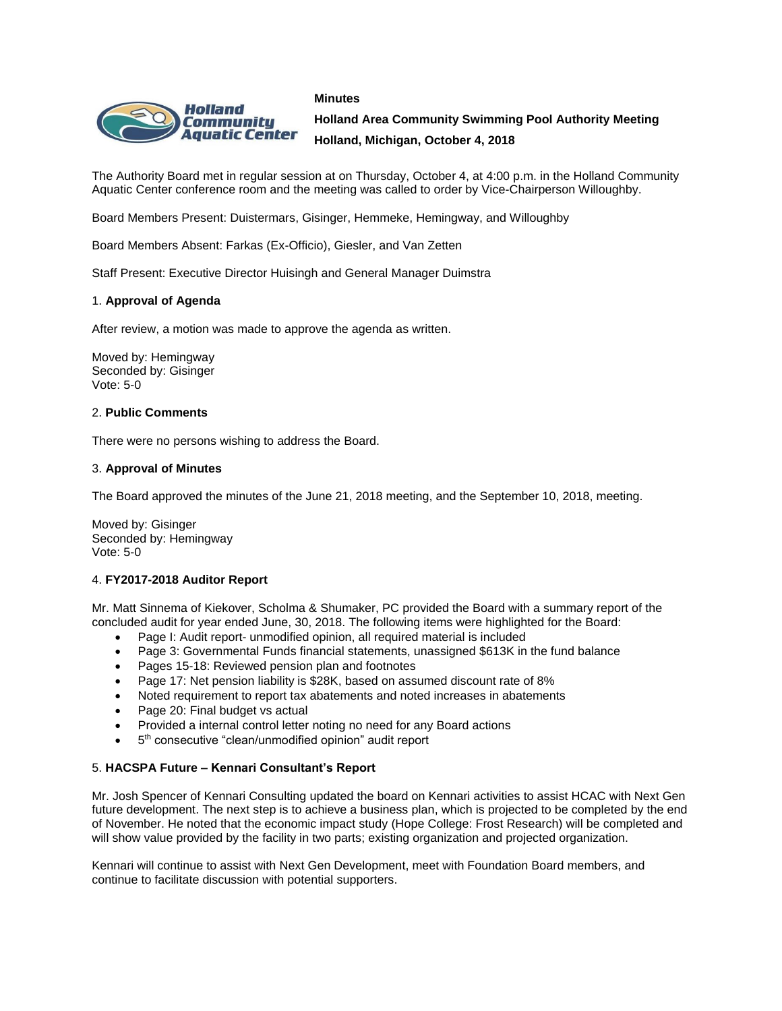#### **Minutes**



**Holland Area Community Swimming Pool Authority Meeting Holland, Michigan, October 4, 2018**

The Authority Board met in regular session at on Thursday, October 4, at 4:00 p.m. in the Holland Community Aquatic Center conference room and the meeting was called to order by Vice-Chairperson Willoughby.

Board Members Present: Duistermars, Gisinger, Hemmeke, Hemingway, and Willoughby

Board Members Absent: Farkas (Ex-Officio), Giesler, and Van Zetten

Staff Present: Executive Director Huisingh and General Manager Duimstra

## 1. **Approval of Agenda**

After review, a motion was made to approve the agenda as written.

Moved by: Hemingway Seconded by: Gisinger Vote: 5-0

### 2. **Public Comments**

There were no persons wishing to address the Board.

#### 3. **Approval of Minutes**

The Board approved the minutes of the June 21, 2018 meeting, and the September 10, 2018, meeting.

Moved by: Gisinger Seconded by: Hemingway Vote: 5-0

### 4. **FY2017-2018 Auditor Report**

Mr. Matt Sinnema of Kiekover, Scholma & Shumaker, PC provided the Board with a summary report of the concluded audit for year ended June, 30, 2018. The following items were highlighted for the Board:

- Page I: Audit report- unmodified opinion, all required material is included
- Page 3: Governmental Funds financial statements, unassigned \$613K in the fund balance
- Pages 15-18: Reviewed pension plan and footnotes
- Page 17: Net pension liability is \$28K, based on assumed discount rate of 8%
- Noted requirement to report tax abatements and noted increases in abatements
- Page 20: Final budget vs actual
- Provided a internal control letter noting no need for any Board actions
- 5<sup>th</sup> consecutive "clean/unmodified opinion" audit report

### 5. **HACSPA Future – Kennari Consultant's Report**

Mr. Josh Spencer of Kennari Consulting updated the board on Kennari activities to assist HCAC with Next Gen future development. The next step is to achieve a business plan, which is projected to be completed by the end of November. He noted that the economic impact study (Hope College: Frost Research) will be completed and will show value provided by the facility in two parts; existing organization and projected organization.

Kennari will continue to assist with Next Gen Development, meet with Foundation Board members, and continue to facilitate discussion with potential supporters.